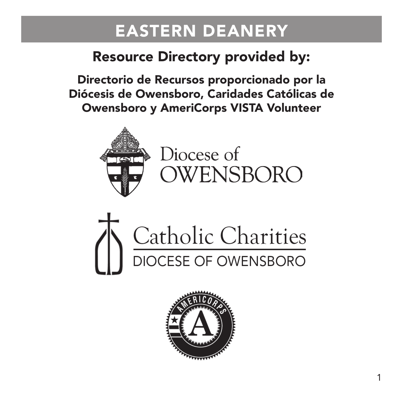### Resource Directory provided by:

Directorio de Recursos proporcionado por la Diócesis de Owensboro, Caridades Católicas de Owensboro y AmeriCorps VISTA Volunteer



Diocese of OWENSBORO



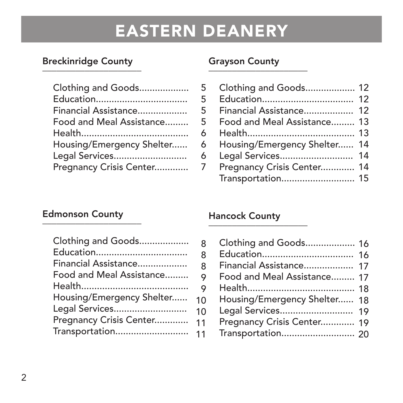### Breckinridge County<br>————————————————————

| Clothing and Goods        |
|---------------------------|
|                           |
| Financial Assistance      |
| Food and Meal Assistance  |
|                           |
| Housing/Emergency Shelter |
| Legal Services            |
| Pregnancy Crisis Center   |

### Grayson County<br>————————————————————

| 5 | Clothing and Goods 12        |  |
|---|------------------------------|--|
| 5 |                              |  |
| 5 | Financial Assistance 12      |  |
| 5 | Food and Meal Assistance 13  |  |
| 6 |                              |  |
| 6 | Housing/Emergency Shelter 14 |  |
| 6 | Legal Services 14            |  |
| 7 | Pregnancy Crisis Center 14   |  |
|   |                              |  |

### Edmonson County<br>————————————————————

| Clothing and Goods        | 8           |
|---------------------------|-------------|
|                           | 8           |
| Financial Assistance      | 8           |
| Food and Meal Assistance  | 9           |
|                           | $\mathsf o$ |
| Housing/Emergency Shelter | 10          |
| Legal Services            | 10          |
| Pregnancy Crisis Center   | 11          |
|                           |             |

### Hancock County<br>————————————————————

| 8         | Clothing and Goods 16        |  |
|-----------|------------------------------|--|
| 8         |                              |  |
| 8         | Financial Assistance 17      |  |
| 9         | Food and Meal Assistance 17  |  |
| 9         |                              |  |
| $\Omega$  | Housing/Emergency Shelter 18 |  |
| $\Omega$  |                              |  |
| $\vert$ 1 | Pregnancy Crisis Center 19   |  |
| $\vert$ 1 |                              |  |
|           |                              |  |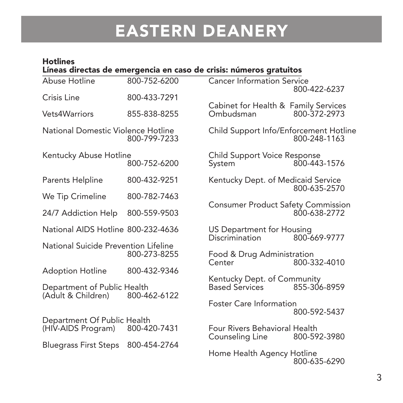#### Hotlines \_\_\_\_\_\_\_\_\_\_\_\_\_\_\_\_\_\_\_\_\_\_\_\_\_\_\_\_\_\_\_\_\_\_\_\_\_\_\_\_\_\_\_\_\_\_\_\_\_\_\_\_\_\_\_ Líneas directas de emergencia en caso de crisis: números gratuitos

| Abuse Hotline                                     | 800-752-6200 | <b>Cancer Information Service</b>                 | 800-422-6237 |
|---------------------------------------------------|--------------|---------------------------------------------------|--------------|
| Crisis Line                                       | 800-433-7291 |                                                   |              |
| Vets4Warriors                                     | 855-838-8255 | Cabinet for Health & Family Services<br>Ombudsman | 800-372-2973 |
| National Domestic Violence Hotline                | 800-799-7233 | Child Support Info/Enforcement Hotline            | 800-248-1163 |
| Kentucky Abuse Hotline                            | 800-752-6200 | Child Support Voice Response<br>System            | 800-443-1576 |
| Parents Helpline                                  | 800-432-9251 | Kentucky Dept. of Medicaid Service                | 800-635-2570 |
| We Tip Crimeline                                  | 800-782-7463 |                                                   |              |
| 24/7 Addiction Help                               | 800-559-9503 | <b>Consumer Product Safety Commission</b>         | 800-638-2772 |
| National AIDS Hotline 800-232-4636                |              | US Department for Housing<br>Discrimination       | 800-669-9777 |
| National Suicide Prevention Lifeline              | 800-273-8255 | Food & Drug Administration<br>Center              | 800-332-4010 |
| <b>Adoption Hotline</b>                           | 800-432-9346 |                                                   |              |
| Department of Public Health<br>(Adult & Children) | 800-462-6122 | Kentucky Dept. of Community<br>Based Services     | 855-306-8959 |
|                                                   |              | Foster Care Information                           | 800-592-5437 |
| Department Of Public Health<br>(HIV-AIDS Program) | 800-420-7431 | Four Rivers Behavioral Health<br>Counseling Line  | 800-592-3980 |
| <b>Bluegrass First Steps</b>                      | 800-454-2764 |                                                   |              |
|                                                   |              | Home Health Agency Hotline                        | 800-635-6290 |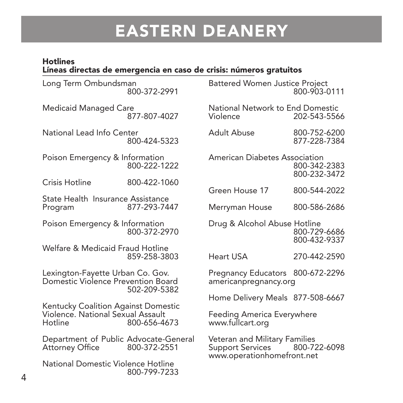#### Hotlines Líneas directas de emergencia en caso de crisis: números gratuitos \_\_\_\_\_\_\_\_\_\_\_\_\_\_\_\_\_\_\_\_\_\_\_\_\_\_\_\_\_\_\_\_\_\_\_\_\_\_\_\_\_\_\_\_\_

| Long Term Ombundsman<br>800-372-2991                                                                |              | <b>Battered Women Justice Project</b><br>800-903-0111                                        |                              |
|-----------------------------------------------------------------------------------------------------|--------------|----------------------------------------------------------------------------------------------|------------------------------|
| Medicaid Managed Care                                                                               | 877-807-4027 | National Network to End Domestic<br>Violence                                                 | 202-543-5566                 |
| National Lead Info Center                                                                           | 800-424-5323 | Adult Abuse                                                                                  | 800-752-6200<br>877-228-7384 |
| Poison Emergency & Information<br>800-222-1222                                                      |              | American Diabetes Association                                                                | 800-342-2383<br>800-232-3472 |
| Crisis Hotline                                                                                      | 800-422-1060 | Green House 17                                                                               | 800-544-2022                 |
| State Health Insurance Assistance                                                                   |              |                                                                                              |                              |
| Program                                                                                             | 877-293-7447 | Merryman House                                                                               | 800-586-2686                 |
| Poison Emergency & Information                                                                      | 800-372-2970 | Drug & Alcohol Abuse Hotline                                                                 | 800-729-6686<br>800-432-9337 |
| Welfare & Medicaid Fraud Hotline                                                                    | 859-258-3803 | Heart USA                                                                                    | 270-442-2590                 |
| Lexington-Fayette Urban Co. Gov.<br>Domestic Violence Prevention Board<br>502-209-5382              |              | Pregnancy Educators 800-672-2296<br>americanpregnancy.org                                    |                              |
|                                                                                                     |              | Home Delivery Meals 877-508-6667                                                             |                              |
| Kentucky Coalition Against Domestic<br>Violence. National Sexual Assault<br>Hotline<br>800-656-4673 |              | Feeding America Everywhere<br>www.fullcart.org                                               |                              |
| Department of Public Advocate-General<br>Attorney Office                                            | 800-372-2551 | Veteran and Military Families<br>Support Services 800-722-6098<br>www.operationhomefront.net |                              |
| National Domestic Violence Hotline                                                                  | 800-799-7233 |                                                                                              |                              |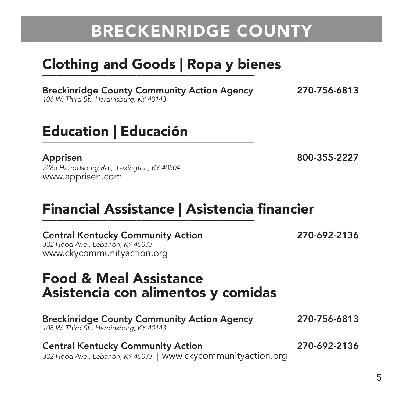# BRECKENRIDGE COUNTY

# Clothing and Goods | Ropa y bienes \_\_\_\_\_\_\_\_\_\_\_\_\_\_\_\_\_\_\_\_\_\_\_\_\_\_\_\_\_\_\_\_\_\_\_\_\_\_\_\_\_\_\_\_\_

Breckinridge County Community Action Agency 270-756-6813 108 W. Third St., Hardinsburg, KY 40143

### Education | Educación \_\_\_\_\_\_\_\_\_\_\_\_\_\_\_\_\_\_\_\_\_\_\_\_\_\_\_\_\_\_\_\_\_\_\_\_\_\_\_\_\_\_\_\_\_

Apprisen 800-355-2227 2265 Harrodsburg Rd., Lexington, KY 40504 www.apprisen.com

# Financial Assistance | Asistencia financier<br>————————————————————

| <b>Central Kentucky Community Action</b><br>332 Hood Ave., Lebanon, KY 40033<br>www.ckycommunityaction.org | 270-692-2136 |
|------------------------------------------------------------------------------------------------------------|--------------|
| <b>Food &amp; Meal Assistance</b><br>Asistencia con alimentos y comidas                                    |              |
| <b>Breckinridge County Community Action Agency</b><br>108 W. Third St., Hardinsburg, KY 40143              | 270-756-6813 |
| <b>Central Kentucky Community Action</b><br>332 Hood Ave., Lebanon, KY 40033   www.ckycommunityaction.org  | 270-692-2136 |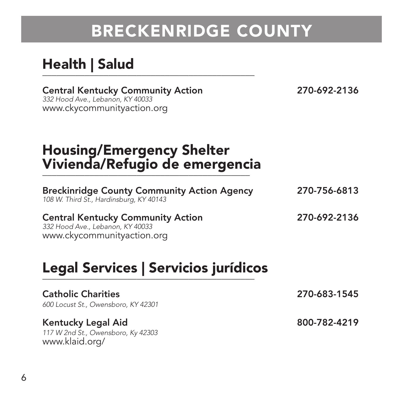# BRECKENRIDGE COUNTY

### Health | Salud

Central Kentucky Community Action 270-692-2136 332 Hood Ave., Lebanon, KY 40033 www.ckycommunityaction.org

## Housing/Emergency Shelter Vivienda/Refugio de emergencia<br>————————————————————

| <b>Breckinridge County Community Action Agency</b><br>108 W. Third St., Hardinsburg, KY 40143 | 270-756-6813 |
|-----------------------------------------------------------------------------------------------|--------------|
| <b>Central Kentucky Community Action</b>                                                      | 270-692-2136 |

332 Hood Ave., Lebanon, KY 40033 www.ckycommunityaction.org

# Legal Services | Servicios jurídicos \_\_\_\_\_\_\_\_\_\_\_\_\_\_\_\_\_\_\_\_\_\_\_\_\_\_\_\_\_\_\_\_\_\_\_\_\_\_\_\_\_\_\_\_\_

| <b>Catholic Charities</b><br>600 Locust St., Owensboro, KY 42301 | 270-683-1545 |
|------------------------------------------------------------------|--------------|
| Kentucky Legal Aid<br>117 W 2nd St., Owensboro, Ky 42303         | 800-782-4219 |
| www.klaid.org/                                                   |              |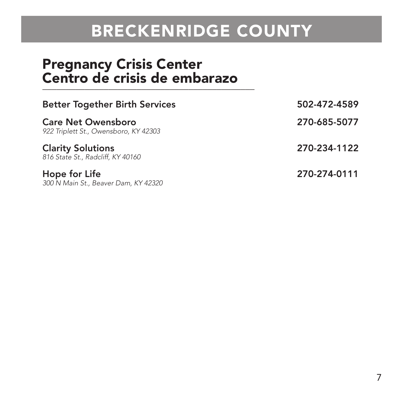# BRECKENRIDGE COUNTY

### Pregnancy Crisis Center Centro de crisis de embarazo \_\_\_\_\_\_\_\_\_\_\_\_\_\_\_\_\_\_\_\_\_\_\_\_\_\_\_\_\_\_\_\_\_\_\_\_\_\_\_\_\_\_\_\_\_

| <b>Better Together Birth Services</b>                              | 502-472-4589 |
|--------------------------------------------------------------------|--------------|
| <b>Care Net Owensboro</b><br>922 Triplett St., Owensboro, KY 42303 | 270-685-5077 |
| <b>Clarity Solutions</b><br>816 State St., Radcliff, KY 40160      | 270-234-1122 |
| Hope for Life<br>300 N Main St., Beaver Dam, KY 42320              | 270-274-0111 |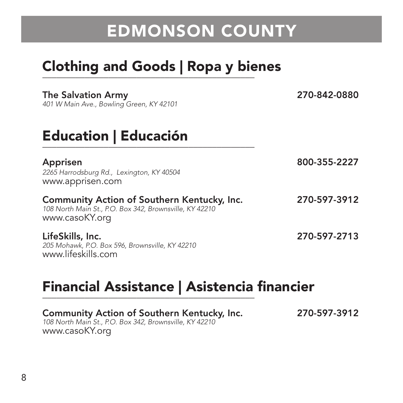# Clothing and Goods | Ropa y bienes \_\_\_\_\_\_\_\_\_\_\_\_\_\_\_\_\_\_\_\_\_\_\_\_\_\_\_\_\_\_\_\_\_\_\_\_\_\_\_\_\_\_\_\_\_

| <b>The Salvation Army</b><br>401 W Main Ave., Bowling Green, KY 42101                                                    | 270-842-0880 |
|--------------------------------------------------------------------------------------------------------------------------|--------------|
| <b>Education   Educación</b>                                                                                             |              |
| Apprisen<br>2265 Harrodsburg Rd., Lexington, KY 40504<br>www.apprisen.com                                                | 800-355-2227 |
| Community Action of Southern Kentucky, Inc.<br>108 North Main St., P.O. Box 342, Brownsville, KY 42210<br>www.casoKY.org | 270-597-3912 |
| LifeSkills, Inc.<br>205 Mohawk, P.O. Box 596, Brownsville, KY 42210<br>www.lifeskills.com                                | 270-597-2713 |

270-597-3912

# Financial Assistance | Asistencia financier<br>————————————————————

| Community Action of Southern Kentucky, Inc.             |  |
|---------------------------------------------------------|--|
| 108 North Main St., P.O. Box 342, Brownsville, KY 42210 |  |
| www.casoKY.org                                          |  |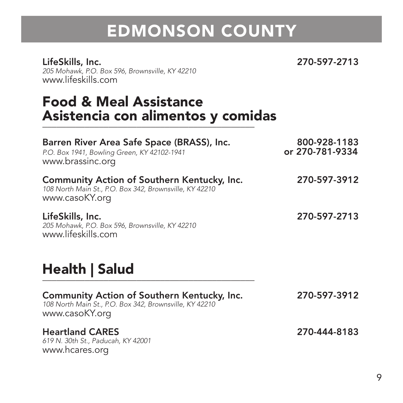LifeSkills, Inc. 270-597-2713 205 Mohawk, P.O. Box 596, Brownsville, KY 42210 www.lifeskills.com

## Food & Meal Assistance Asistencia con alimentos y comidas<br>————————————————————

| Barren River Area Safe Space (BRASS), Inc.<br>P.O. Box 1941, Bowling Green, KY 42102-1941<br>www.brassinc.org            | 800-928-1183<br>or 270-781-9334 |
|--------------------------------------------------------------------------------------------------------------------------|---------------------------------|
| Community Action of Southern Kentucky, Inc.<br>108 North Main St., P.O. Box 342, Brownsville, KY 42210<br>www.casoKY.org | 270-597-3912                    |
| LifeSkills, Inc.<br>205 Mohawk, P.O. Box 596, Brownsville, KY 42210<br>www.lifeskills.com                                | 270-597-2713                    |
| Health   Salud                                                                                                           |                                 |
| Community Action of Southern Kentucky, Inc.<br>108 North Main St., P.O. Box 342, Brownsville, KY 42210<br>www.casoKY.org | 270-597-3912                    |
| <b>Heartland CARES</b><br>619 N. 30th St., Paducah, KY 42001<br>www.hcares.org                                           | 270-444-8183                    |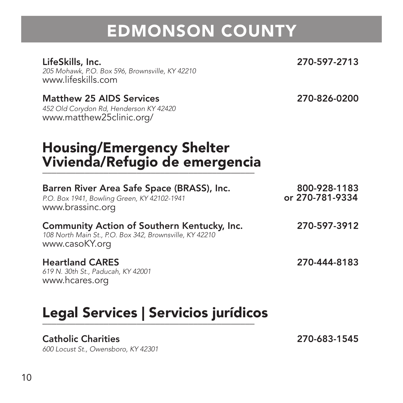205 Mohawk, P.O. Box 596, Brownsville, KY 42210 www.lifeskills.com

#### Matthew 25 AIDS Services 270-826-0200

452 Old Corydon Rd, Henderson KY 42420 www.matthew25clinic.org/

#### LifeSkills, Inc. 270-597-2713

## Housing/Emergency Shelter Vivienda/Refugio de emergencia<br>————————————————————

| Barren River Area Safe Space (BRASS), Inc.<br>P.O. Box 1941, Bowling Green, KY 42102-1941<br>www.brassinc.org            | 800-928-1183<br>or 270-781-9334 |
|--------------------------------------------------------------------------------------------------------------------------|---------------------------------|
| Community Action of Southern Kentucky, Inc.<br>108 North Main St., P.O. Box 342, Brownsville, KY 42210<br>www.casoKY.org | 270-597-3912                    |
| <b>Heartland CARES</b>                                                                                                   | 270-444-8183                    |

619 N. 30th St., Paducah, KY 42001 www.hcares.org

# Legal Services | Servicios jurídicos \_\_\_\_\_\_\_\_\_\_\_\_\_\_\_\_\_\_\_\_\_\_\_\_\_\_\_\_\_\_\_\_\_\_\_\_\_\_\_\_\_\_\_\_\_

#### Catholic Charities 270-683-1545

600 Locust St., Owensboro, KY 42301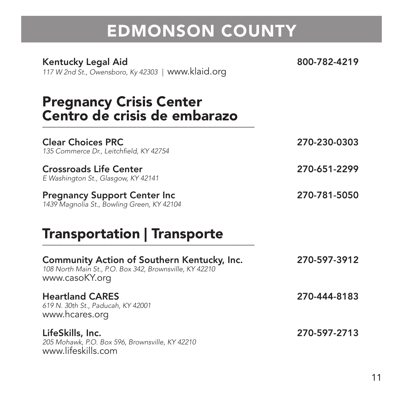Kentucky Legal Aid 800-782-4219

117 W 2nd St., Owensboro, Ky 42303 | www.klaid.org

## Pregnancy Crisis Center Centro de crisis de embarazo \_\_\_\_\_\_\_\_\_\_\_\_\_\_\_\_\_\_\_\_\_\_\_\_\_\_\_\_\_\_\_\_\_\_\_\_\_\_\_\_\_\_\_\_\_

| <b>Clear Choices PRC</b><br>135 Commerce Dr., Leitchfield, KY 42754                | 270-230-0303 |
|------------------------------------------------------------------------------------|--------------|
| <b>Crossroads Life Center</b><br>E Washington St., Glasgow, KY 42141               | 270-651-2299 |
| <b>Pregnancy Support Center Inc.</b><br>1439 Magnolia St., Bowling Green, KY 42104 | 270-781-5050 |

### Transportation | Transporte \_\_\_\_\_\_\_\_\_\_\_\_\_\_\_\_\_\_\_\_\_\_\_\_\_\_\_\_\_\_\_\_\_\_\_\_\_\_\_\_\_\_\_\_\_

| Community Action of Southern Kentucky, Inc.<br>108 North Main St., P.O. Box 342, Brownsville, KY 42210<br>www.casoKY.org | 270-597-3912 |
|--------------------------------------------------------------------------------------------------------------------------|--------------|
| <b>Heartland CARES</b><br>619 N. 30th St., Paducah, KY 42001<br>www.hcares.org                                           | 270-444-8183 |
| LifeSkills, Inc.<br>205 Mohawk, P.O. Box 596, Brownsville, KY 42210<br>www.lifeskills.com                                | 270-597-2713 |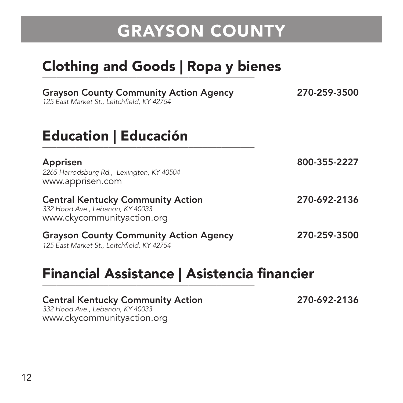# Clothing and Goods | Ropa y bienes \_\_\_\_\_\_\_\_\_\_\_\_\_\_\_\_\_\_\_\_\_\_\_\_\_\_\_\_\_\_\_\_\_\_\_\_\_\_\_\_\_\_\_\_\_

| <b>Grayson County Community Action Agency</b><br>125 East Market St., Leitchfield, KY 42754                | 270-259-3500 |
|------------------------------------------------------------------------------------------------------------|--------------|
| <b>Education   Educación</b>                                                                               |              |
| Apprisen<br>2265 Harrodsburg Rd., Lexington, KY 40504<br>www.apprisen.com                                  | 800-355-2227 |
| <b>Central Kentucky Community Action</b><br>332 Hood Ave., Lebanon, KY 40033<br>www.ckycommunityaction.org | 270-692-2136 |
| <b>Grayson County Community Action Agency</b><br>125 Fast Market St Leitchfield KY 42754                   | 270-259-3500 |

# Financial Assistance | Asistencia financier<br>————————————————————

### Central Kentucky Community Action 270-692-2136 332 Hood Ave., Lebanon, KY 40033 www.ckycommunityaction.org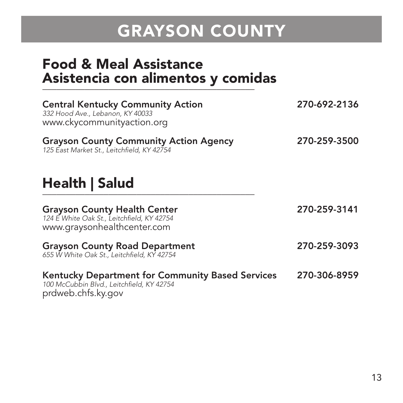### Food & Meal Assistance Asistencia con alimentos y comidas

| <b>Central Kentucky Community Action</b><br>332 Hood Ave., Lebanon, KY 40033<br>www.ckycommunityaction.org          | 270-692-2136 |
|---------------------------------------------------------------------------------------------------------------------|--------------|
| <b>Grayson County Community Action Agency</b><br>125 East Market St., Leitchfield, KY 42754                         | 270-259-3500 |
| Health   Salud                                                                                                      |              |
| <b>Grayson County Health Center</b><br>124 E White Oak St., Leitchfield, KY 42754<br>www.graysonhealthcenter.com    | 270-259-3141 |
| <b>Grayson County Road Department</b><br>655 W White Oak St., Leitchfield, KY 42754                                 | 270-259-3093 |
| Kentucky Department for Community Based Services<br>100 McCubbin Blvd., Leitchfield, KY 42754<br>prdweb.chfs.ky.gov | 270-306-8959 |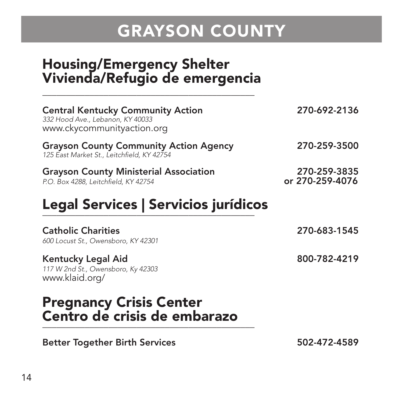### Housing/Emergency Shelter Vivienda/Refugio de emergencia \_\_\_\_\_\_\_\_\_\_\_\_\_\_\_\_\_\_\_\_\_\_\_\_\_\_\_\_\_\_\_\_\_\_\_\_\_\_\_\_\_\_\_\_\_

| <b>Central Kentucky Community Action</b><br>332 Hood Ave., Lebanon, KY 40033<br>www.ckycommunityaction.org | 270-692-2136                    |
|------------------------------------------------------------------------------------------------------------|---------------------------------|
| <b>Grayson County Community Action Agency</b><br>125 East Market St., Leitchfield, KY 42754                | 270-259-3500                    |
| <b>Grayson County Ministerial Association</b><br>P.O. Box 4288, Leitchfield, KY 42754                      | 270-259-3835<br>or 270-259-4076 |
| Legal Services   Servicios jurídicos                                                                       |                                 |
| <b>Catholic Charities</b><br>600 Locust St., Owensboro, KY 42301                                           | 270-683-1545                    |
| Kentucky Legal Aid<br>117 W 2nd St., Owensboro, Ky 42303<br>www.klaid.org/                                 | 800-782-4219                    |
| <b>Pregnancy Crisis Center</b>                                                                             |                                 |

Centro de crisis de embarazo \_\_\_\_\_\_\_\_\_\_\_\_\_\_\_\_\_\_\_\_\_\_\_\_\_\_\_\_\_\_\_\_\_\_\_\_\_\_\_\_\_\_\_\_\_

Better Together Birth Services 502-472-4589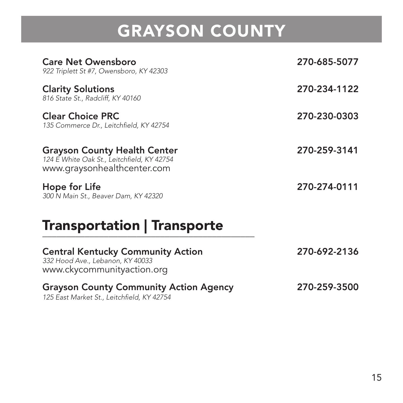| <b>Care Net Owensboro</b><br>922 Triplett St #7, Owensboro, KY 42303                                             | 270-685-5077 |
|------------------------------------------------------------------------------------------------------------------|--------------|
| <b>Clarity Solutions</b><br>816 State St., Radcliff, KY 40160                                                    | 270-234-1122 |
| <b>Clear Choice PRC</b><br>135 Commerce Dr., Leitchfield, KY 42754                                               | 270-230-0303 |
| <b>Grayson County Health Center</b><br>124 E White Oak St., Leitchfield, KY 42754<br>www.graysonhealthcenter.com | 270-259-3141 |
| Hope for Life<br>300 N Main St., Beaver Dam, KY 42320                                                            | 270-274-0111 |

### Transportation | Transporte \_\_\_\_\_\_\_\_\_\_\_\_\_\_\_\_\_\_\_\_\_\_\_\_\_\_\_\_\_\_\_\_\_\_\_\_\_\_\_\_\_\_\_\_\_

| <b>Central Kentucky Community Action</b><br>332 Hood Ave., Lebanon, KY 40033<br>www.ckycommunityaction.org | 270-692-2136 |
|------------------------------------------------------------------------------------------------------------|--------------|
| <b>Grayson County Community Action Agency</b><br>125 East Market St., Leitchfield, KY 42754                | 270-259-3500 |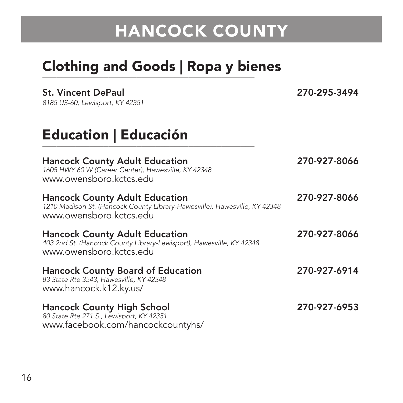# Clothing and Goods | Ropa y bienes \_\_\_\_\_\_\_\_\_\_\_\_\_\_\_\_\_\_\_\_\_\_\_\_\_\_\_\_\_\_\_\_\_\_\_\_\_\_\_\_\_\_\_\_\_

| <b>St. Vincent DePaul</b><br>8185 US-60, Lewisport, KY 42351                                                                                   | 270-295-3494 |
|------------------------------------------------------------------------------------------------------------------------------------------------|--------------|
| <b>Education   Educación</b>                                                                                                                   |              |
| <b>Hancock County Adult Education</b><br>1605 HWY 60 W (Career Center), Hawesville, KY 42348<br>www.owensboro.kctcs.edu                        | 270-927-8066 |
| <b>Hancock County Adult Education</b><br>1210 Madison St. (Hancock County Library-Hawesville), Hawesville, KY 42348<br>www.owensboro.kctcs.edu | 270-927-8066 |
| <b>Hancock County Adult Education</b><br>403 2nd St. (Hancock County Library-Lewisport), Hawesville, KY 42348<br>www.owensboro.kctcs.edu       | 270-927-8066 |
| <b>Hancock County Board of Education</b><br>83 State Rte 3543, Hawesville, KY 42348<br>www.hancock.k12.ky.us/                                  | 270-927-6914 |
| <b>Hancock County High School</b><br>80 State Rte 271 S., Lewisport, KY 42351<br>www.facebook.com/hancockcountyhs/                             | 270-927-6953 |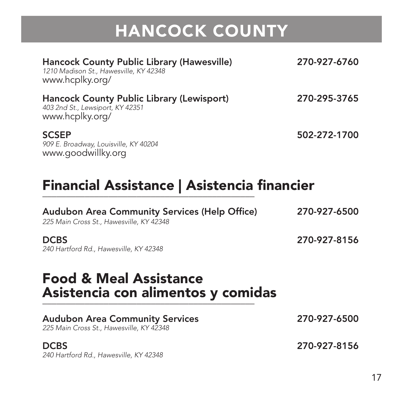| Hancock County Public Library (Hawesville)<br>1210 Madison St., Hawesville, KY 42348<br>www.hcplky.org/ | 270-927-6760 |
|---------------------------------------------------------------------------------------------------------|--------------|
| Hancock County Public Library (Lewisport)<br>403 2nd St., Lewsiport, KY 42351<br>www.hcplky.org/        | 270-295-3765 |
| <b>SCSEP</b><br>909 E. Broadway, Louisville, KY 40204<br>www.goodwillky.org                             | 502-272-1700 |

# Financial Assistance | Asistencia financier<br>————————————————————

| <b>Audubon Area Community Services (Help Office)</b><br>225 Main Cross St., Hawesville, KY 42348 | 270-927-6500 |
|--------------------------------------------------------------------------------------------------|--------------|
| <b>DCBS</b><br>240 Hartford Rd., Hawesville, KY 42348                                            | 270-927-8156 |
|                                                                                                  |              |
| <b>Food &amp; Meal Assistance</b><br>Asistencia con alimentos y comidas                          |              |
| <b>Audubon Area Community Services</b><br>225 Main Cross St., Hawesville, KY 42348               | 270-927-6500 |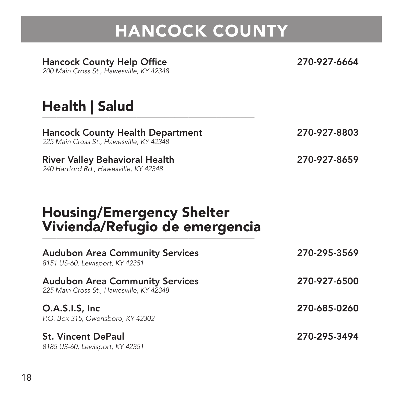### Hancock County Help Office 270-927-6664

200 Main Cross St., Hawesville, KY 42348

### Health | Salud

Hancock County Health Department 270-927-8803 225 Main Cross St., Hawesville, KY 42348

River Valley Behavioral Health 270-927-8659 240 Hartford Rd., Hawesville, KY 42348

## Housing/Emergency Shelter Vivienda/Refugio de emergencia \_\_\_\_\_\_\_\_\_\_\_\_\_\_\_\_\_\_\_\_\_\_\_\_\_\_\_\_\_\_\_\_\_\_\_\_\_\_\_\_\_\_\_\_\_

| <b>Audubon Area Community Services</b><br>8151 US-60, Lewisport, KY 42351          | 270-295-3569 |
|------------------------------------------------------------------------------------|--------------|
| <b>Audubon Area Community Services</b><br>225 Main Cross St., Hawesville, KY 42348 | 270-927-6500 |
| O.A.S.I.S, Inc.<br>P.O. Box 315, Owensboro, KY 42302                               | 270-685-0260 |
| <b>St. Vincent DePaul</b><br>8185 US-60, Lewisport, KY 42351                       | 270-295-3494 |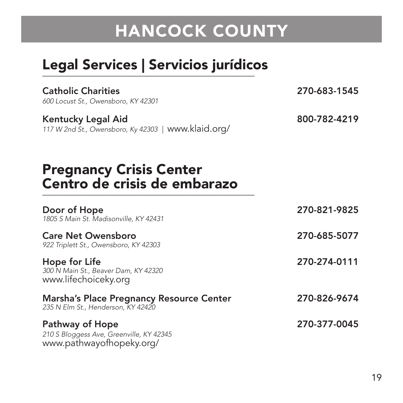# Legal Services | Servicios jurídicos \_\_\_\_\_\_\_\_\_\_\_\_\_\_\_\_\_\_\_\_\_\_\_\_\_\_\_\_\_\_\_\_\_\_\_\_\_\_\_\_\_\_\_\_\_

| <b>Catholic Charities</b><br>600 Locust St., Owensboro, KY 42301                        | 270-683-1545 |
|-----------------------------------------------------------------------------------------|--------------|
| Kentucky Legal Aid<br>117 W 2nd St., Owensboro, Ky 42303   www.klaid.org/               | 800-782-4219 |
| <b>Pregnancy Crisis Center</b><br>Centro de crisis de embarazo                          |              |
| Door of Hope<br>1805 S Main St. Madisonville, KY 42431                                  | 270-821-9825 |
| <b>Care Net Owensboro</b><br>922 Triplett St., Owensboro, KY 42303                      | 270-685-5077 |
| Hope for Life<br>300 N Main St., Beaver Dam, KY 42320<br>www.lifechoiceky.org           | 270-274-0111 |
| Marsha's Place Pregnancy Resource Center<br>235 N Elm St., Henderson, KY 42420          | 270-826-9674 |
| Pathway of Hope<br>210 S Bloggess Ave, Greenville, KY 42345<br>www.pathwayofhopeky.org/ | 270-377-0045 |